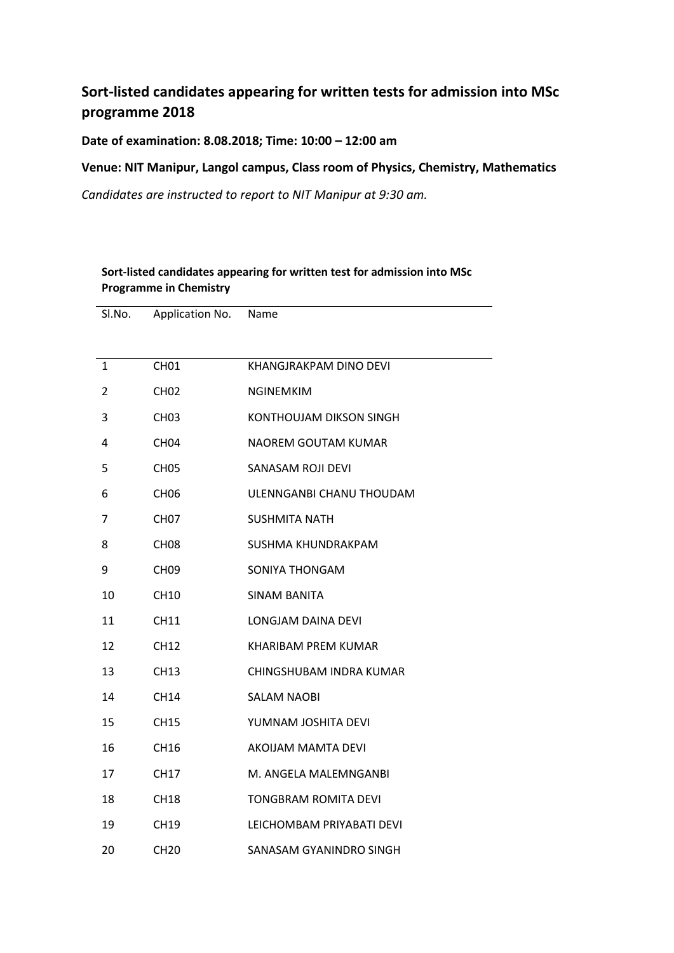## **Sort-listed candidates appearing for written tests for admission into MSc programme 2018**

**Date of examination: 8.08.2018; Time: 10:00 – 12:00 am** 

**Venue: NIT Manipur, Langol campus, Class room of Physics, Chemistry, Mathematics**

*Candidates are instructed to report to NIT Manipur at 9:30 am.*

**Sort-listed candidates appearing for written test for admission into MSc** 

| <b>Programme in Chemistry</b> |                  |                             |  |
|-------------------------------|------------------|-----------------------------|--|
| Sl.No.                        | Application No.  | Name                        |  |
|                               |                  |                             |  |
| 1                             | CH <sub>01</sub> | KHANGJRAKPAM DINO DEVI      |  |
| 2                             | CH <sub>02</sub> | <b>NGINEMKIM</b>            |  |
| 3                             | CH <sub>03</sub> | KONTHOUJAM DIKSON SINGH     |  |
| 4                             | CH <sub>04</sub> | NAOREM GOUTAM KUMAR         |  |
| 5                             | CH <sub>05</sub> | <b>SANASAM ROJI DEVI</b>    |  |
| 6                             | <b>CH06</b>      | ULENNGANBI CHANU THOUDAM    |  |
| 7                             | CH <sub>07</sub> | <b>SUSHMITA NATH</b>        |  |
| 8                             | <b>CH08</b>      | SUSHMA KHUNDRAKPAM          |  |
| 9                             | <b>CH09</b>      | SONIYA THONGAM              |  |
| 10                            | <b>CH10</b>      | <b>SINAM BANITA</b>         |  |
| 11                            | <b>CH11</b>      | LONGJAM DAINA DEVI          |  |
| 12                            | <b>CH12</b>      | KHARIBAM PREM KUMAR         |  |
| 13                            | <b>CH13</b>      | CHINGSHUBAM INDRA KUMAR     |  |
| 14                            | CH14             | SALAM NAOBI                 |  |
| 15                            | <b>CH15</b>      | YUMNAM JOSHITA DEVI         |  |
| 16                            | <b>CH16</b>      | <b>AKOIJAM MAMTA DEVI</b>   |  |
| 17                            | <b>CH17</b>      | M. ANGELA MALEMNGANBI       |  |
| 18                            | <b>CH18</b>      | <b>TONGBRAM ROMITA DEVI</b> |  |
| 19                            | CH19             | LEICHOMBAM PRIYABATI DEVI   |  |
| 20                            | <b>CH20</b>      | SANASAM GYANINDRO SINGH     |  |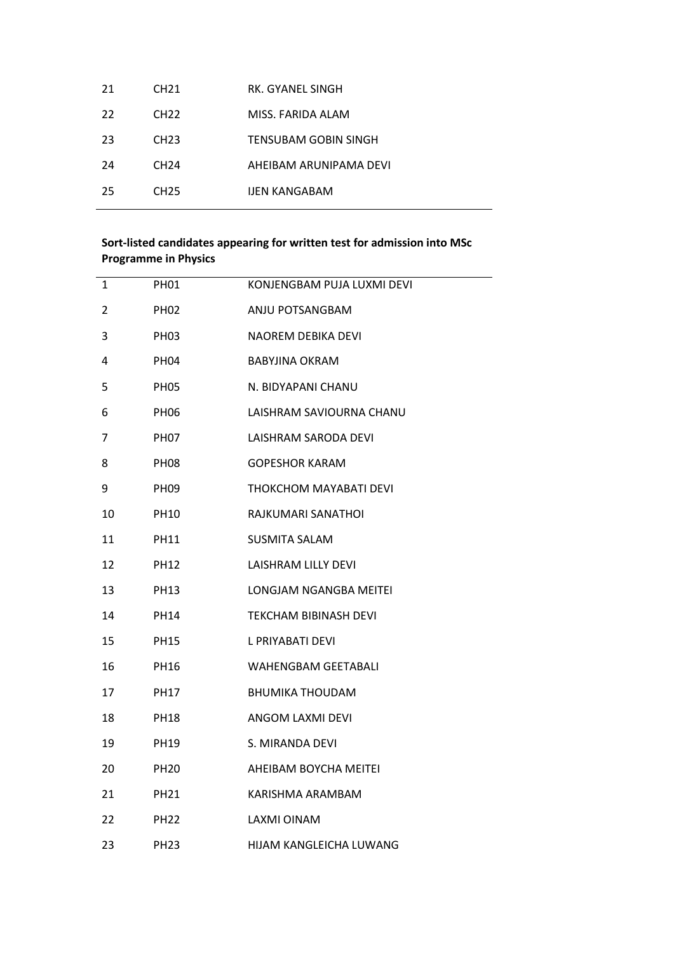| 21  | CH <sub>21</sub> | RK. GYANEL SINGH       |
|-----|------------------|------------------------|
| 22  | CH <sub>22</sub> | MISS. FARIDA ALAM      |
| -23 | CH <sub>23</sub> | TENSUBAM GOBIN SINGH   |
| -24 | CH <sub>24</sub> | AHEIBAM ARUNIPAMA DEVI |
| 25  | CH <sub>25</sub> | <b>IJEN KANGABAM</b>   |
|     |                  |                        |

## **Sort-listed candidates appearing for written test for admission into MSc Programme in Physics**

| 1  | PH <sub>01</sub> | KONJENGBAM PUJA LUXMI DEVI |
|----|------------------|----------------------------|
| 2  | <b>PH02</b>      | ANJU POTSANGBAM            |
| 3  | <b>PH03</b>      | NAOREM DEBIKA DEVI         |
| 4  | <b>PH04</b>      | <b>BABYJINA OKRAM</b>      |
| 5  | <b>PH05</b>      | N. BIDYAPANI CHANU         |
| 6  | PH <sub>06</sub> | LAISHRAM SAVIOURNA CHANU   |
| 7  | <b>PH07</b>      | LAISHRAM SARODA DEVI       |
| 8  | PH <sub>08</sub> | <b>GOPESHOR KARAM</b>      |
| 9  | <b>PH09</b>      | THOKCHOM MAYABATI DEVI     |
| 10 | PH <sub>10</sub> | RAJKUMARI SANATHOI         |
| 11 | <b>PH11</b>      | <b>SUSMITA SALAM</b>       |
| 12 | PH12             | LAISHRAM LILLY DEVI        |
| 13 | <b>PH13</b>      | LONGJAM NGANGBA MEITEI     |
| 14 | <b>PH14</b>      | TEKCHAM BIBINASH DEVI      |
| 15 | <b>PH15</b>      | L PRIYABATI DEVI           |
| 16 | <b>PH16</b>      | <b>WAHENGBAM GEETABALI</b> |
| 17 | <b>PH17</b>      | <b>BHUMIKA THOUDAM</b>     |
| 18 | <b>PH18</b>      | ANGOM LAXMI DEVI           |
| 19 | PH19             | S. MIRANDA DEVI            |
| 20 | <b>PH20</b>      | AHEIBAM BOYCHA MEITEI      |
| 21 | <b>PH21</b>      | KARISHMA ARAMBAM           |
| 22 | <b>PH22</b>      | LAXMI OINAM                |
| 23 | <b>PH23</b>      | HIJAM KANGLEICHA LUWANG    |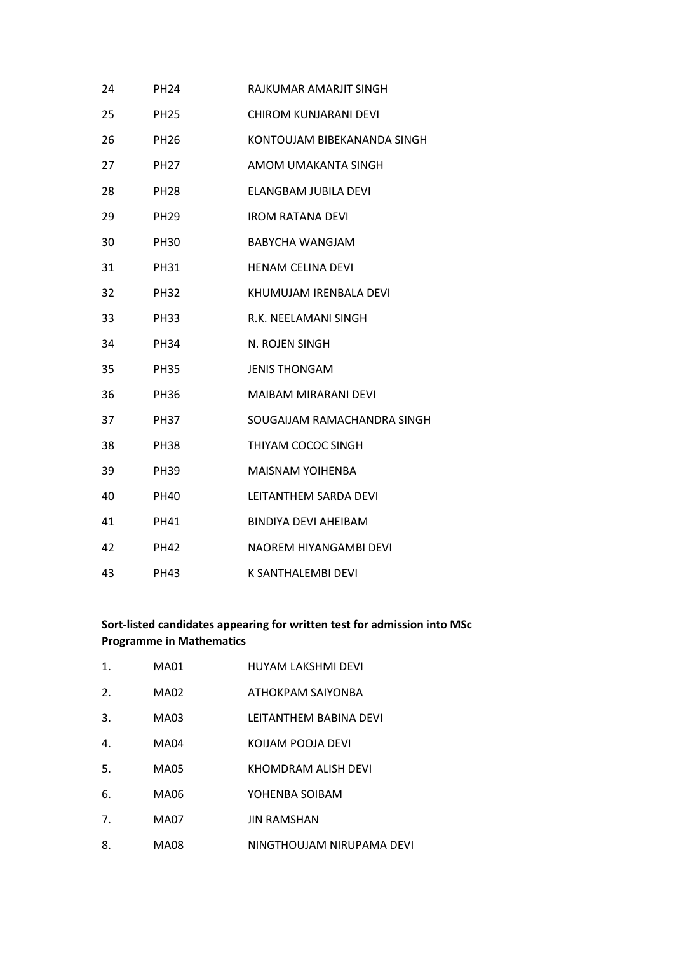| 24 | <b>PH24</b> | RAJKUMAR AMARJIT SINGH       |
|----|-------------|------------------------------|
| 25 | <b>PH25</b> | <b>CHIROM KUNJARANI DEVI</b> |
| 26 | <b>PH26</b> | KONTOUJAM BIBEKANANDA SINGH  |
| 27 | <b>PH27</b> | AMOM UMAKANTA SINGH          |
| 28 | <b>PH28</b> | <b>ELANGBAM JUBILA DEVI</b>  |
| 29 | <b>PH29</b> | <b>IROM RATANA DEVI</b>      |
| 30 | <b>PH30</b> | <b>BABYCHA WANGJAM</b>       |
| 31 | <b>PH31</b> | <b>HENAM CELINA DEVI</b>     |
| 32 | <b>PH32</b> | KHUMUJAM IRENBALA DEVI       |
| 33 | <b>PH33</b> | R.K. NEELAMANI SINGH         |
| 34 | <b>PH34</b> | N. ROJEN SINGH               |
| 35 | <b>PH35</b> | <b>JENIS THONGAM</b>         |
| 36 | <b>PH36</b> | <b>MAIBAM MIRARANI DEVI</b>  |
| 37 | <b>PH37</b> | SOUGAIJAM RAMACHANDRA SINGH  |
| 38 | <b>PH38</b> | THIYAM COCOC SINGH           |
| 39 | <b>PH39</b> | <b>MAISNAM YOIHENBA</b>      |
| 40 | PH40        | <b>LEITANTHEM SARDA DEVI</b> |
| 41 | PH41        | <b>BINDIYA DEVI AHEIBAM</b>  |
| 42 | <b>PH42</b> | NAOREM HIYANGAMBI DEVI       |
| 43 | <b>PH43</b> | K SANTHALEMBI DEVI           |
|    |             |                              |

## **Sort-listed candidates appearing for written test for admission into MSc Programme in Mathematics**

| 1. | <b>MA01</b> | <b>HUYAM LAKSHMI DEVI</b> |
|----|-------------|---------------------------|
| 2. | <b>MA02</b> | ATHOKPAM SAIYONBA         |
| 3. | MA03        | LEITANTHEM BABINA DEVI    |
| 4. | MA04        | KOIJAM POOJA DEVI         |
| 5. | MA05        | KHOMDRAM ALISH DEVI       |
| 6. | MA06        | YOHENBA SOIBAM            |
| 7. | MA07        | <b>JIN RAMSHAN</b>        |
| 8. | <b>MA08</b> | NINGTHOUJAM NIRUPAMA DEVI |